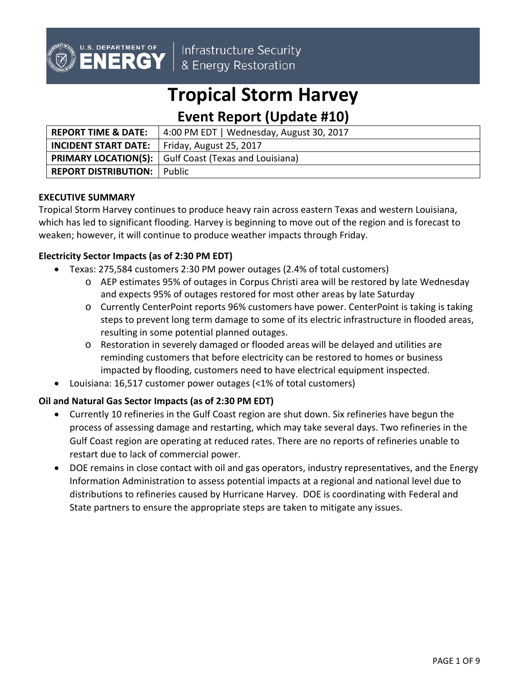

Infrastructure Security & Energy Restoration

# **Tropical Storm Harvey**

## **Event Report (Update #10)**

| <b>REPORT TIME &amp; DATE:</b>     | 4:00 PM EDT   Wednesday, August 30, 2017                             |
|------------------------------------|----------------------------------------------------------------------|
| <b>INCIDENT START DATE:</b>        | Friday, August 25, 2017                                              |
|                                    | <b>PRIMARY LOCATION(S):</b> $\vert$ Gulf Coast (Texas and Louisiana) |
| <b>REPORT DISTRIBUTION:</b> Public |                                                                      |

#### **EXECUTIVE SUMMARY**

Tropical Storm Harvey continues to produce heavy rain across eastern Texas and western Louisiana, which has led to significant flooding. Harvey is beginning to move out of the region and is forecast to weaken; however, it will continue to produce weather impacts through Friday.

#### **Electricity Sector Impacts (as of 2:30 PM EDT)**

- Texas: 275,584 customers 2:30 PM power outages (2.4% of total customers)
	- o AEP estimates 95% of outages in Corpus Christi area will be restored by late Wednesday and expects 95% of outages restored for most other areas by late Saturday
	- o Currently CenterPoint reports 96% customers have power. CenterPoint is taking is taking steps to prevent long term damage to some of its electric infrastructure in flooded areas, resulting in some potential planned outages.
	- o Restoration in severely damaged or flooded areas will be delayed and utilities are reminding customers that before electricity can be restored to homes or business impacted by flooding, customers need to have electrical equipment inspected.
- Louisiana: 16,517 customer power outages (<1% of total customers)

#### **Oil and Natural Gas Sector Impacts (as of 2:30 PM EDT)**

- Currently 10 refineries in the Gulf Coast region are shut down. Six refineries have begun the process of assessing damage and restarting, which may take several days. Two refineries in the Gulf Coast region are operating at reduced rates. There are no reports of refineries unable to restart due to lack of commercial power.
- DOE remains in close contact with oil and gas operators, industry representatives, and the Energy Information Administration to assess potential impacts at a regional and national level due to distributions to refineries caused by Hurricane Harvey. DOE is coordinating with Federal and State partners to ensure the appropriate steps are taken to mitigate any issues.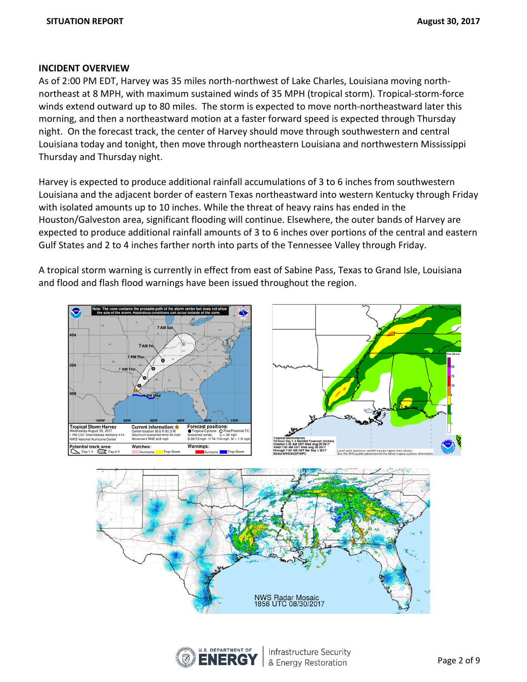#### **INCIDENT OVERVIEW**

As of 2:00 PM EDT, Harvey was 35 miles north-northwest of Lake Charles, Louisiana moving northnortheast at 8 MPH, with maximum sustained winds of 35 MPH (tropical storm). Tropical-storm-force winds extend outward up to 80 miles. The storm is expected to move north-northeastward later this morning, and then a northeastward motion at a faster forward speed is expected through Thursday night. On the forecast track, the center of Harvey should move through southwestern and central Louisiana today and tonight, then move through northeastern Louisiana and northwestern Mississippi Thursday and Thursday night.

Harvey is expected to produce additional rainfall accumulations of 3 to 6 inches from southwestern Louisiana and the adjacent border of eastern Texas northeastward into western Kentucky through Friday with isolated amounts up to 10 inches. While the threat of heavy rains has ended in the Houston/Galveston area, significant flooding will continue. Elsewhere, the outer bands of Harvey are expected to produce additional rainfall amounts of 3 to 6 inches over portions of the central and eastern Gulf States and 2 to 4 inches farther north into parts of the Tennessee Valley through Friday.

A tropical storm warning is currently in effect from east of Sabine Pass, Texas to Grand Isle, Louisiana and flood and flash flood warnings have been issued throughout the region.





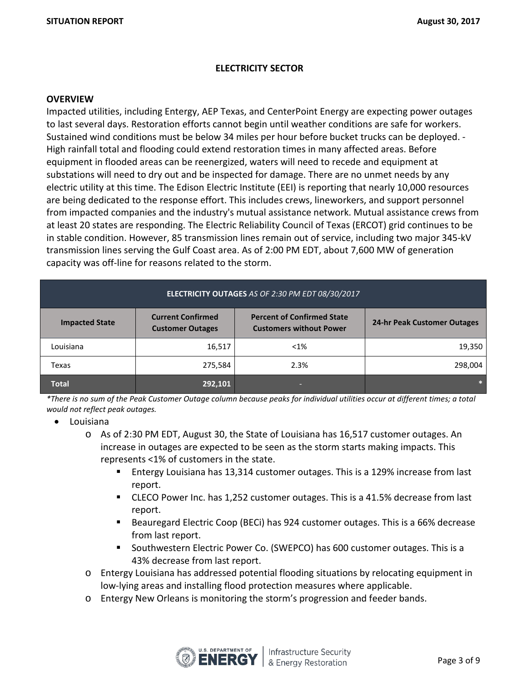#### **ELECTRICITY SECTOR**

#### **OVERVIEW**

Impacted utilities, including Entergy, AEP Texas, and CenterPoint Energy are expecting power outages to last several days. Restoration efforts cannot begin until weather conditions are safe for workers. Sustained wind conditions must be below 34 miles per hour before bucket trucks can be deployed. - High rainfall total and flooding could extend restoration times in many affected areas. Before equipment in flooded areas can be reenergized, waters will need to recede and equipment at substations will need to dry out and be inspected for damage. There are no unmet needs by any electric utility at this time. The Edison Electric Institute (EEI) is reporting that nearly 10,000 resources are being dedicated to the response effort. This includes crews, lineworkers, and support personnel from impacted companies and the industry's mutual assistance network. Mutual assistance crews from at least 20 states are responding. The Electric Reliability Council of Texas (ERCOT) grid continues to be in stable condition. However, 85 transmission lines remain out of service, including two major 345-kV transmission lines serving the Gulf Coast area. As of 2:00 PM EDT, about 7,600 MW of generation capacity was off-line for reasons related to the storm.

| ELECTRICITY OUTAGES AS OF 2:30 PM EDT 08/30/2017 |                                                     |                                                                     |                             |  |  |
|--------------------------------------------------|-----------------------------------------------------|---------------------------------------------------------------------|-----------------------------|--|--|
| <b>Impacted State</b>                            | <b>Current Confirmed</b><br><b>Customer Outages</b> | <b>Percent of Confirmed State</b><br><b>Customers without Power</b> | 24-hr Peak Customer Outages |  |  |
| Louisiana                                        | 16,517                                              | $< 1\%$                                                             | 19,350                      |  |  |
| Texas                                            | 275,584                                             | 2.3%                                                                | 298,004                     |  |  |
| <b>Total</b>                                     | 292,101                                             |                                                                     |                             |  |  |

*\*There is no sum of the Peak Customer Outage column because peaks for individual utilities occur at different times; a total would not reflect peak outages.*

- Louisiana
	- o As of 2:30 PM EDT, August 30, the State of Louisiana has 16,517 customer outages. An increase in outages are expected to be seen as the storm starts making impacts. This represents <1% of customers in the state.
		- Entergy Louisiana has 13,314 customer outages. This is a 129% increase from last report.
		- CLECO Power Inc. has 1,252 customer outages. This is a 41.5% decrease from last report.
		- Beauregard Electric Coop (BECi) has 924 customer outages. This is a 66% decrease from last report.
		- **Southwestern Electric Power Co. (SWEPCO) has 600 customer outages. This is a** 43% decrease from last report.
	- o Entergy Louisiana has addressed potential flooding situations by relocating equipment in low-lying areas and installing flood protection measures where applicable.
	- o Entergy New Orleans is monitoring the storm's progression and feeder bands.

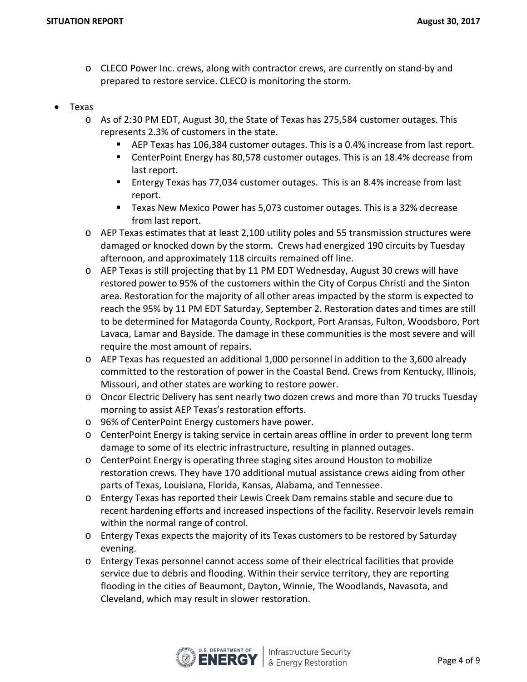- o CLECO Power Inc. crews, along with contractor crews, are currently on stand-by and prepared to restore service. CLECO is monitoring the storm.
- Texas
	- o As of 2:30 PM EDT, August 30, the State of Texas has 275,584 customer outages. This represents 2.3% of customers in the state.
		- AEP Texas has 106,384 customer outages. This is a 0.4% increase from last report.
		- CenterPoint Energy has 80,578 customer outages. This is an 18.4% decrease from last report.
		- Entergy Texas has 77,034 customer outages. This is an 8.4% increase from last report.
		- Texas New Mexico Power has 5,073 customer outages. This is a 32% decrease from last report.
	- o AEP Texas estimates that at least 2,100 utility poles and 55 transmission structures were damaged or knocked down by the storm. Crews had energized 190 circuits by Tuesday afternoon, and approximately 118 circuits remained off line.
	- o AEP Texas is still projecting that by 11 PM EDT Wednesday, August 30 crews will have restored power to 95% of the customers within the City of Corpus Christi and the Sinton area. Restoration for the majority of all other areas impacted by the storm is expected to reach the 95% by 11 PM EDT Saturday, September 2. Restoration dates and times are still to be determined for Matagorda County, Rockport, Port Aransas, Fulton, Woodsboro, Port Lavaca, Lamar and Bayside. The damage in these communities is the most severe and will require the most amount of repairs.
	- $\circ$  AEP Texas has requested an additional 1,000 personnel in addition to the 3,600 already committed to the restoration of power in the Coastal Bend. Crews from Kentucky, Illinois, Missouri, and other states are working to restore power.
	- o Oncor Electric Delivery has sent nearly two dozen crews and more than 70 trucks Tuesday morning to assist AEP Texas's restoration efforts.
	- o 96% of CenterPoint Energy customers have power.
	- o CenterPoint Energy is taking service in certain areas offline in order to prevent long term damage to some of its electric infrastructure, resulting in planned outages.
	- o CenterPoint Energy is operating three staging sites around Houston to mobilize restoration crews. They have 170 additional mutual assistance crews aiding from other parts of Texas, Louisiana, Florida, Kansas, Alabama, and Tennessee.
	- o Entergy Texas has reported their Lewis Creek Dam remains stable and secure due to recent hardening efforts and increased inspections of the facility. Reservoir levels remain within the normal range of control.
	- o Entergy Texas expects the majority of its Texas customers to be restored by Saturday evening.
	- o Entergy Texas personnel cannot access some of their electrical facilities that provide service due to debris and flooding. Within their service territory, they are reporting flooding in the cities of Beaumont, Dayton, Winnie, The Woodlands, Navasota, and Cleveland, which may result in slower restoration.

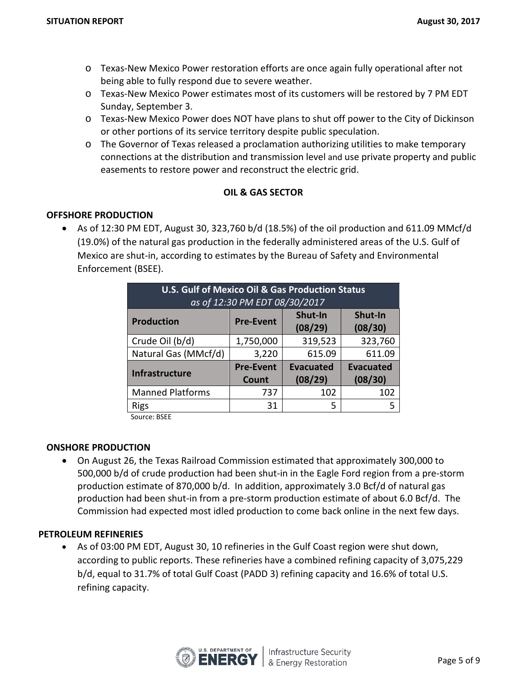- o Texas-New Mexico Power restoration efforts are once again fully operational after not being able to fully respond due to severe weather.
- o Texas-New Mexico Power estimates most of its customers will be restored by 7 PM EDT Sunday, September 3.
- o Texas-New Mexico Power does NOT have plans to shut off power to the City of Dickinson or other portions of its service territory despite public speculation.
- o The Governor of Texas released a proclamation authorizing utilities to make temporary connections at the distribution and transmission level and use private property and public easements to restore power and reconstruct the electric grid.

#### **OIL & GAS SECTOR**

#### **OFFSHORE PRODUCTION**

• As of 12:30 PM EDT, August 30, 323,760 b/d (18.5%) of the oil production and 611.09 MMcf/d (19.0%) of the natural gas production in the federally administered areas of the U.S. Gulf of Mexico are shut-in, according to estimates by the Bureau of Safety and Environmental Enforcement (BSEE).

| <b>U.S. Gulf of Mexico Oil &amp; Gas Production Status</b><br>as of 12:30 PM EDT 08/30/2017 |                  |                    |                    |  |
|---------------------------------------------------------------------------------------------|------------------|--------------------|--------------------|--|
| <b>Production</b>                                                                           | <b>Pre-Event</b> | Shut-In<br>(08/29) | Shut-In<br>(08/30) |  |
| Crude Oil (b/d)                                                                             | 1,750,000        | 319,523            | 323,760            |  |
| Natural Gas (MMcf/d)                                                                        | 3,220            | 615.09             | 611.09             |  |
| <b>Infrastructure</b>                                                                       | <b>Pre-Event</b> | <b>Evacuated</b>   | <b>Evacuated</b>   |  |
|                                                                                             | Count            | (08/29)            | (08/30)            |  |
| <b>Manned Platforms</b>                                                                     | 737              | 102                | 102                |  |
| <b>Rigs</b>                                                                                 | 31               | 5                  | 5                  |  |

Source: BSEE

#### **ONSHORE PRODUCTION**

• On August 26, the Texas Railroad Commission estimated that approximately 300,000 to 500,000 b/d of crude production had been shut-in in the Eagle Ford region from a pre-storm production estimate of 870,000 b/d. In addition, approximately 3.0 Bcf/d of natural gas production had been shut-in from a pre-storm production estimate of about 6.0 Bcf/d. The Commission had expected most idled production to come back online in the next few days.

#### **PETROLEUM REFINERIES**

• As of 03:00 PM EDT, August 30, 10 refineries in the Gulf Coast region were shut down, according to public reports. These refineries have a combined refining capacity of 3,075,229 b/d, equal to 31.7% of total Gulf Coast (PADD 3) refining capacity and 16.6% of total U.S. refining capacity.

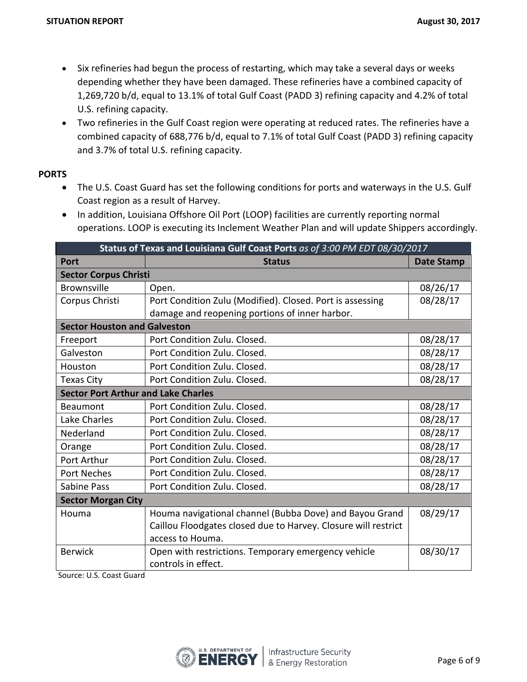- Six refineries had begun the process of restarting, which may take a several days or weeks depending whether they have been damaged. These refineries have a combined capacity of 1,269,720 b/d, equal to 13.1% of total Gulf Coast (PADD 3) refining capacity and 4.2% of total U.S. refining capacity.
- Two refineries in the Gulf Coast region were operating at reduced rates. The refineries have a combined capacity of 688,776 b/d, equal to 7.1% of total Gulf Coast (PADD 3) refining capacity and 3.7% of total U.S. refining capacity.

#### **PORTS**

- The U.S. Coast Guard has set the following conditions for ports and waterways in the U.S. Gulf Coast region as a result of Harvey.
- In addition, Louisiana Offshore Oil Port (LOOP) facilities are currently reporting normal operations. LOOP is executing its Inclement Weather Plan and will update Shippers accordingly.

| Status of Texas and Louisiana Gulf Coast Ports as of 3:00 PM EDT 08/30/2017 |                                                                |                   |  |  |  |
|-----------------------------------------------------------------------------|----------------------------------------------------------------|-------------------|--|--|--|
| <b>Port</b>                                                                 | <b>Status</b>                                                  | <b>Date Stamp</b> |  |  |  |
| <b>Sector Corpus Christi</b>                                                |                                                                |                   |  |  |  |
| <b>Brownsville</b>                                                          | Open.                                                          | 08/26/17          |  |  |  |
| Corpus Christi                                                              | Port Condition Zulu (Modified). Closed. Port is assessing      | 08/28/17          |  |  |  |
|                                                                             | damage and reopening portions of inner harbor.                 |                   |  |  |  |
| <b>Sector Houston and Galveston</b>                                         |                                                                |                   |  |  |  |
| Freeport                                                                    | Port Condition Zulu. Closed.                                   | 08/28/17          |  |  |  |
| Galveston                                                                   | Port Condition Zulu. Closed.                                   | 08/28/17          |  |  |  |
| Houston                                                                     | Port Condition Zulu. Closed.                                   | 08/28/17          |  |  |  |
| Texas City                                                                  | Port Condition Zulu. Closed.                                   | 08/28/17          |  |  |  |
| <b>Sector Port Arthur and Lake Charles</b>                                  |                                                                |                   |  |  |  |
| <b>Beaumont</b>                                                             | Port Condition Zulu. Closed.                                   | 08/28/17          |  |  |  |
| Lake Charles                                                                | Port Condition Zulu. Closed.                                   | 08/28/17          |  |  |  |
| Nederland                                                                   | Port Condition Zulu. Closed.                                   | 08/28/17          |  |  |  |
| Orange                                                                      | Port Condition Zulu. Closed.                                   | 08/28/17          |  |  |  |
| Port Arthur                                                                 | Port Condition Zulu. Closed.                                   | 08/28/17          |  |  |  |
| Port Neches                                                                 | Port Condition Zulu. Closed.                                   | 08/28/17          |  |  |  |
| <b>Sabine Pass</b>                                                          | Port Condition Zulu. Closed.                                   | 08/28/17          |  |  |  |
| <b>Sector Morgan City</b>                                                   |                                                                |                   |  |  |  |
| Houma                                                                       | Houma navigational channel (Bubba Dove) and Bayou Grand        | 08/29/17          |  |  |  |
|                                                                             | Caillou Floodgates closed due to Harvey. Closure will restrict |                   |  |  |  |
|                                                                             | access to Houma.                                               |                   |  |  |  |
| <b>Berwick</b>                                                              | Open with restrictions. Temporary emergency vehicle            | 08/30/17          |  |  |  |
|                                                                             | controls in effect.                                            |                   |  |  |  |

Source: U.S. Coast Guard

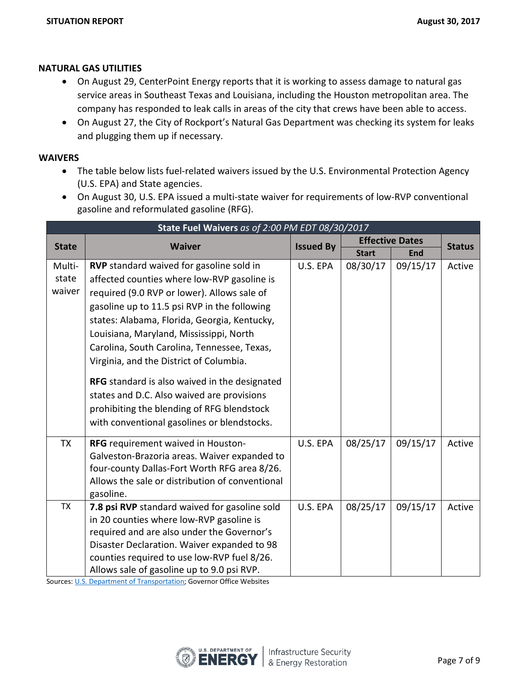#### **NATURAL GAS UTILITIES**

- On August 29, CenterPoint Energy reports that it is working to assess damage to natural gas service areas in Southeast Texas and Louisiana, including the Houston metropolitan area. The company has responded to leak calls in areas of the city that crews have been able to access.
- On August 27, the City of Rockport's Natural Gas Department was checking its system for leaks and plugging them up if necessary.

#### **WAIVERS**

- The table below lists fuel-related waivers issued by the U.S. Environmental Protection Agency (U.S. EPA) and State agencies.
- On August 30, U.S. EPA issued a multi-state waiver for requirements of low-RVP conventional gasoline and reformulated gasoline (RFG).

| State Fuel Waivers as of 2:00 PM EDT 08/30/2017 |                                                 |          |                        |              |               |  |
|-------------------------------------------------|-------------------------------------------------|----------|------------------------|--------------|---------------|--|
| <b>State</b>                                    | <b>Waiver</b>                                   |          | <b>Effective Dates</b> |              | <b>Status</b> |  |
|                                                 |                                                 |          | <b>Issued By</b>       | <b>Start</b> | <b>End</b>    |  |
| Multi-                                          | RVP standard waived for gasoline sold in        | U.S. EPA | 08/30/17               | 09/15/17     | Active        |  |
| state                                           | affected counties where low-RVP gasoline is     |          |                        |              |               |  |
| waiver                                          | required (9.0 RVP or lower). Allows sale of     |          |                        |              |               |  |
|                                                 | gasoline up to 11.5 psi RVP in the following    |          |                        |              |               |  |
|                                                 | states: Alabama, Florida, Georgia, Kentucky,    |          |                        |              |               |  |
|                                                 | Louisiana, Maryland, Mississippi, North         |          |                        |              |               |  |
|                                                 | Carolina, South Carolina, Tennessee, Texas,     |          |                        |              |               |  |
|                                                 | Virginia, and the District of Columbia.         |          |                        |              |               |  |
|                                                 | RFG standard is also waived in the designated   |          |                        |              |               |  |
|                                                 | states and D.C. Also waived are provisions      |          |                        |              |               |  |
|                                                 | prohibiting the blending of RFG blendstock      |          |                        |              |               |  |
|                                                 | with conventional gasolines or blendstocks.     |          |                        |              |               |  |
| <b>TX</b>                                       | RFG requirement waived in Houston-              | U.S. EPA | 08/25/17               | 09/15/17     | Active        |  |
|                                                 | Galveston-Brazoria areas. Waiver expanded to    |          |                        |              |               |  |
|                                                 | four-county Dallas-Fort Worth RFG area 8/26.    |          |                        |              |               |  |
|                                                 | Allows the sale or distribution of conventional |          |                        |              |               |  |
|                                                 | gasoline.                                       |          |                        |              |               |  |
| <b>TX</b>                                       | 7.8 psi RVP standard waived for gasoline sold   | U.S. EPA | 08/25/17               | 09/15/17     | Active        |  |
|                                                 | in 20 counties where low-RVP gasoline is        |          |                        |              |               |  |
|                                                 | required and are also under the Governor's      |          |                        |              |               |  |
|                                                 | Disaster Declaration. Waiver expanded to 98     |          |                        |              |               |  |
|                                                 | counties required to use low-RVP fuel 8/26.     |          |                        |              |               |  |
|                                                 | Allows sale of gasoline up to 9.0 psi RVP.      |          |                        |              |               |  |

Sources: [U.S. Department of Transportation;](http://www.fmcsa.dot.gov/emergency) Governor Office Websites

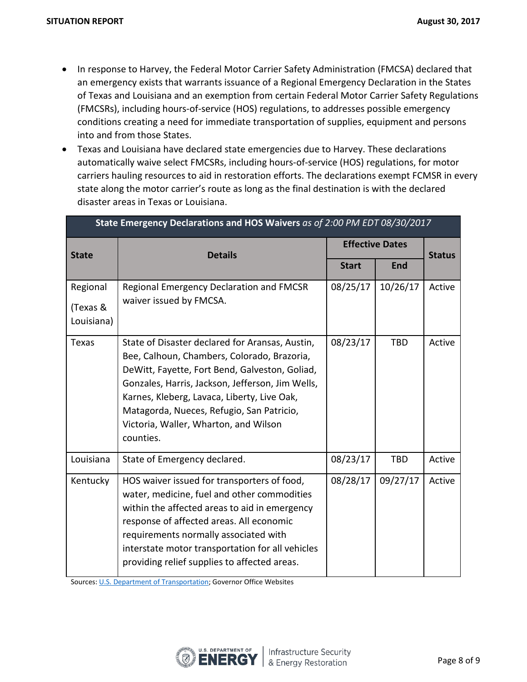- In response to Harvey, the Federal Motor Carrier Safety Administration (FMCSA) declared that an emergency exists that warrants issuance of a Regional Emergency Declaration in the States of Texas and Louisiana and an exemption from certain Federal Motor Carrier Safety Regulations (FMCSRs), including hours-of-service (HOS) regulations, to addresses possible emergency conditions creating a need for immediate transportation of supplies, equipment and persons into and from those States.
- Texas and Louisiana have declared state emergencies due to Harvey. These declarations automatically waive select FMCSRs, including hours-of-service (HOS) regulations, for motor carriers hauling resources to aid in restoration efforts. The declarations exempt FCMSR in every state along the motor carrier's route as long as the final destination is with the declared disaster areas in Texas or Louisiana.

| State Emergency Declarations and HOS Waivers as of 2:00 PM EDT 08/30/2017 |                                                                                                                                                                                                                                                                                                                                                        |                        |            |               |  |
|---------------------------------------------------------------------------|--------------------------------------------------------------------------------------------------------------------------------------------------------------------------------------------------------------------------------------------------------------------------------------------------------------------------------------------------------|------------------------|------------|---------------|--|
| <b>State</b>                                                              | <b>Details</b>                                                                                                                                                                                                                                                                                                                                         | <b>Effective Dates</b> |            | <b>Status</b> |  |
|                                                                           |                                                                                                                                                                                                                                                                                                                                                        | <b>Start</b>           | End        |               |  |
| Regional<br>(Texas &<br>Louisiana)                                        | Regional Emergency Declaration and FMCSR<br>waiver issued by FMCSA.                                                                                                                                                                                                                                                                                    | 08/25/17               | 10/26/17   | Active        |  |
| Texas                                                                     | State of Disaster declared for Aransas, Austin,<br>Bee, Calhoun, Chambers, Colorado, Brazoria,<br>DeWitt, Fayette, Fort Bend, Galveston, Goliad,<br>Gonzales, Harris, Jackson, Jefferson, Jim Wells,<br>Karnes, Kleberg, Lavaca, Liberty, Live Oak,<br>Matagorda, Nueces, Refugio, San Patricio,<br>Victoria, Waller, Wharton, and Wilson<br>counties. | 08/23/17               | <b>TBD</b> | Active        |  |
| Louisiana                                                                 | State of Emergency declared.                                                                                                                                                                                                                                                                                                                           | 08/23/17               | <b>TBD</b> | Active        |  |
| Kentucky                                                                  | HOS waiver issued for transporters of food,<br>water, medicine, fuel and other commodities<br>within the affected areas to aid in emergency<br>response of affected areas. All economic<br>requirements normally associated with<br>interstate motor transportation for all vehicles<br>providing relief supplies to affected areas.                   | 08/28/17               | 09/27/17   | Active        |  |

Sources[: U.S. Department of Transportation;](http://www.fmcsa.dot.gov/emergency) Governor Office Websites